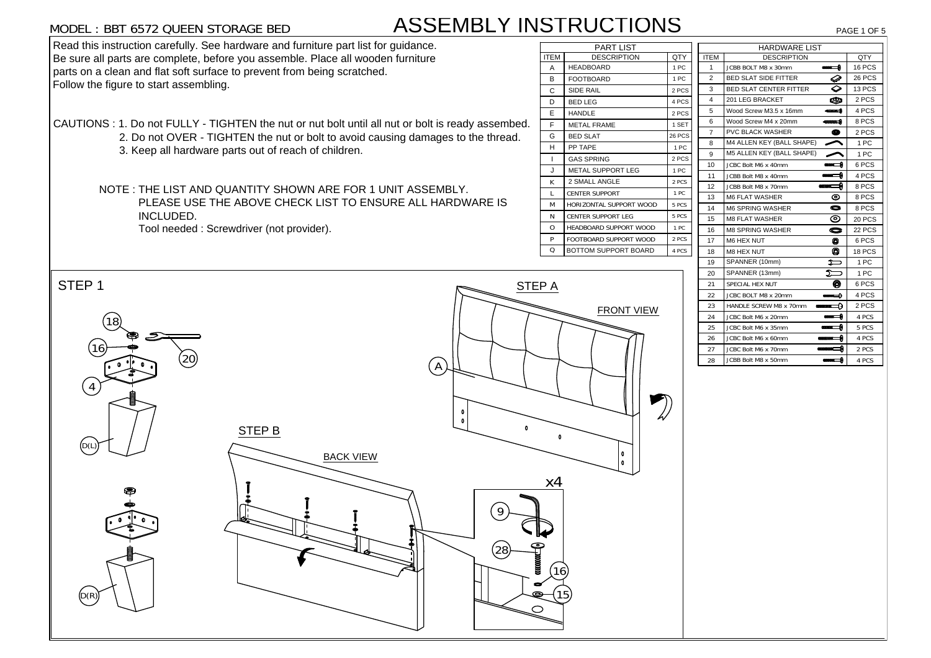# MODEL : BBT 6572 QUEEN STORAGE BED

# ASSEMBLY INSTRUCTIONS

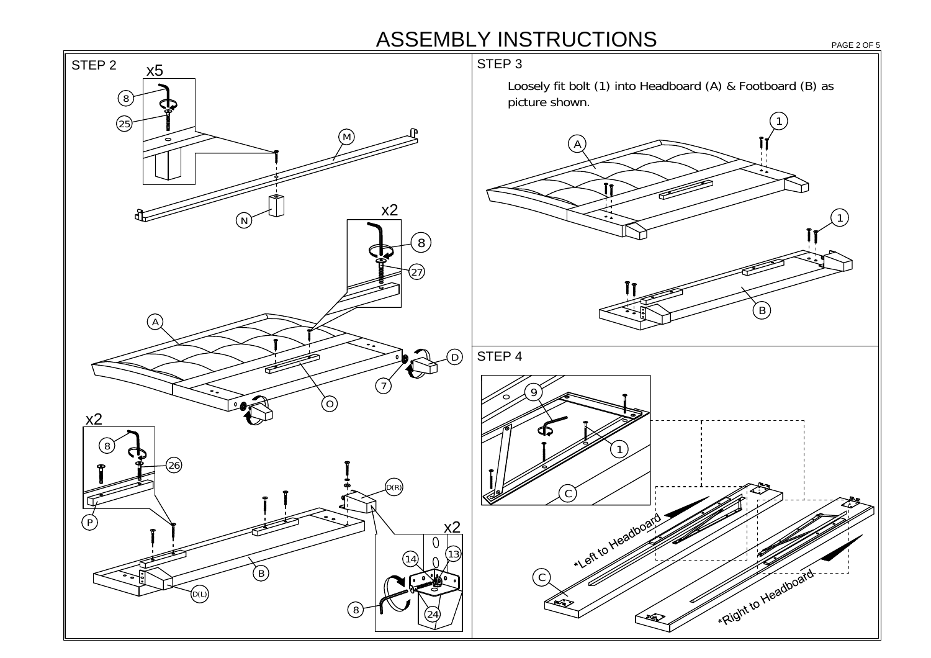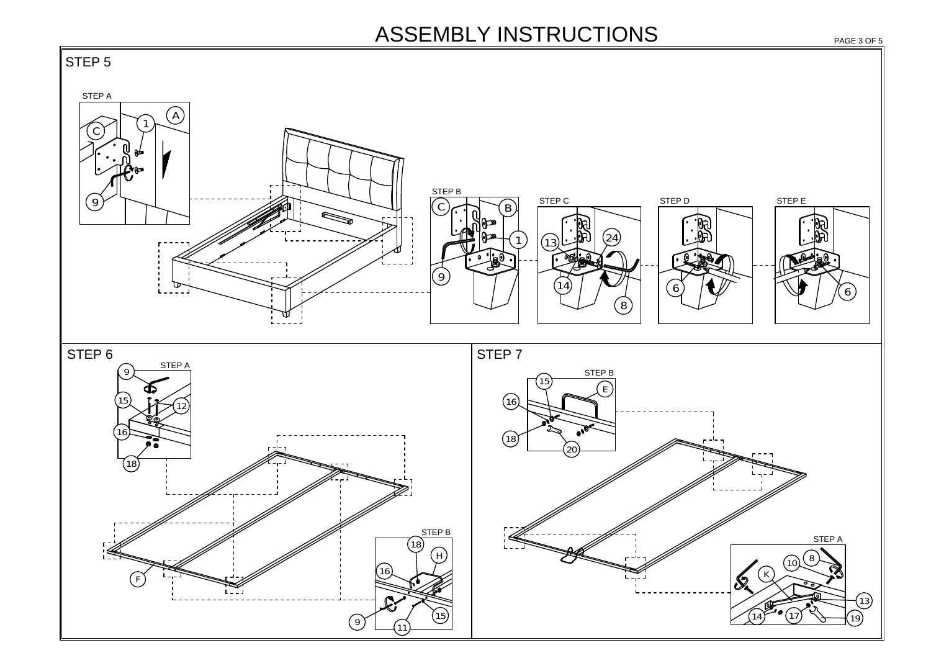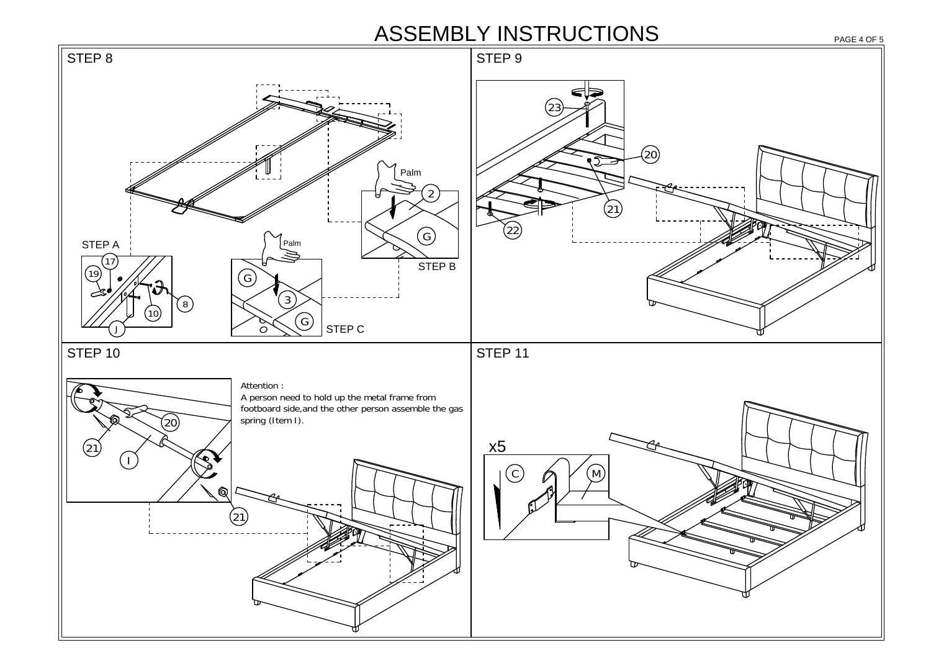